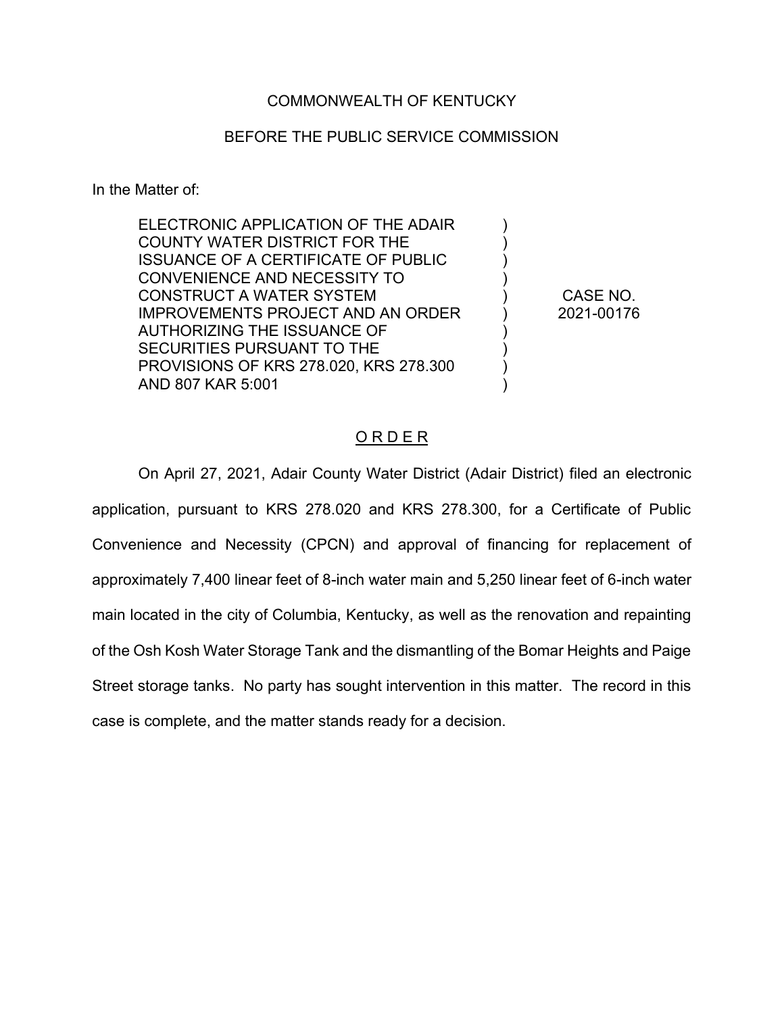# COMMONWEALTH OF KENTUCKY

#### BEFORE THE PUBLIC SERVICE COMMISSION

In the Matter of:

| CASE NO.   |
|------------|
| 2021-00176 |
|            |
|            |
|            |
|            |
|            |

# O R D E R

On April 27, 2021, Adair County Water District (Adair District) filed an electronic application, pursuant to KRS 278.020 and KRS 278.300, for a Certificate of Public Convenience and Necessity (CPCN) and approval of financing for replacement of approximately 7,400 linear feet of 8-inch water main and 5,250 linear feet of 6-inch water main located in the city of Columbia, Kentucky, as well as the renovation and repainting of the Osh Kosh Water Storage Tank and the dismantling of the Bomar Heights and Paige Street storage tanks. No party has sought intervention in this matter. The record in this case is complete, and the matter stands ready for a decision.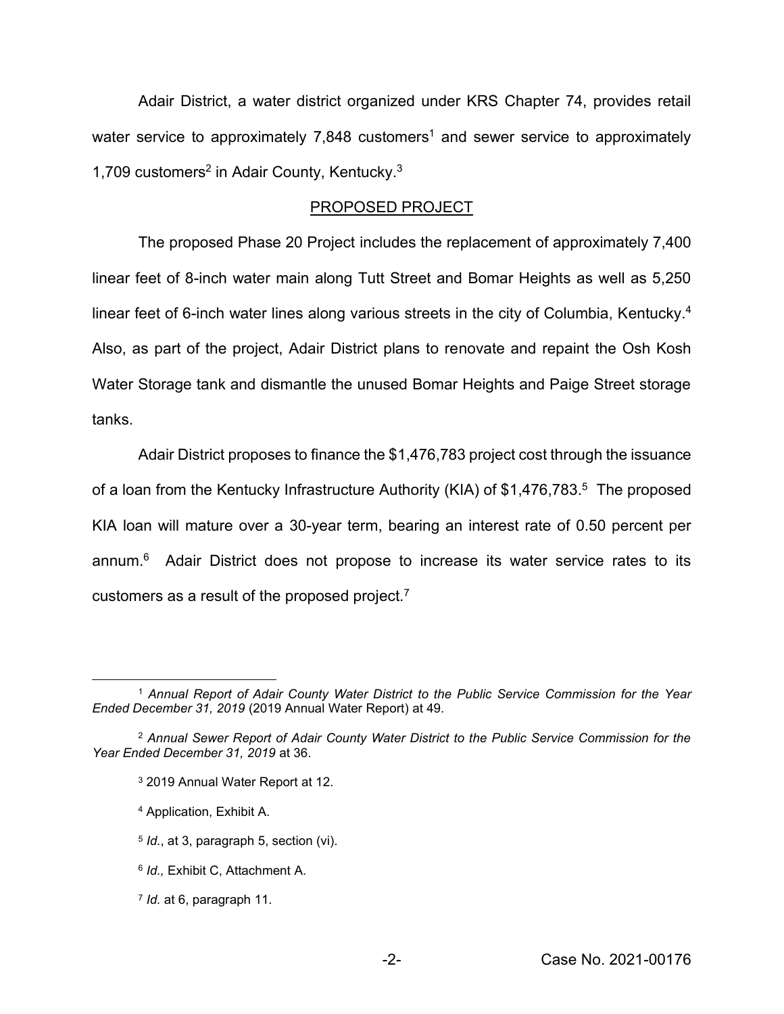Adair District, a water district organized under KRS Chapter 74, provides retail water service to approximately 7,848 customers<sup>1</sup> and sewer service to approximately 1,709 customers<sup>2</sup> in Adair County, Kentucky.<sup>3</sup>

#### PROPOSED PROJECT

The proposed Phase 20 Project includes the replacement of approximately 7,400 linear feet of 8-inch water main along Tutt Street and Bomar Heights as well as 5,250 linear feet of 6-inch water lines along various streets in the city of Columbia, Kentucky.<sup>4</sup> Also, as part of the project, Adair District plans to renovate and repaint the Osh Kosh Water Storage tank and dismantle the unused Bomar Heights and Paige Street storage tanks.

Adair District proposes to finance the \$1,476,783 project cost through the issuance of a loan from the Kentucky Infrastructure Authority (KIA) of \$1,476,783.<sup>5</sup> The proposed KIA loan will mature over a 30-year term, bearing an interest rate of 0.50 percent per annum. 6 Adair District does not propose to increase its water service rates to its customers as a result of the proposed project.7

- <sup>3</sup> 2019 Annual Water Report at 12.
- <sup>4</sup> Application, Exhibit A.
- <sup>5</sup> *Id.*, at 3, paragraph 5, section (vi).
- <sup>6</sup> *Id.,* Exhibit C, Attachment A.
- <sup>7</sup> *Id.* at 6, paragraph 11.

<sup>1</sup> *Annual Report of Adair County Water District to the Public Service Commission for the Year Ended December 31, 2019* (2019 Annual Water Report) at 49.

<sup>2</sup> *Annual Sewer Report of Adair County Water District to the Public Service Commission for the Year Ended December 31, 2019* at 36.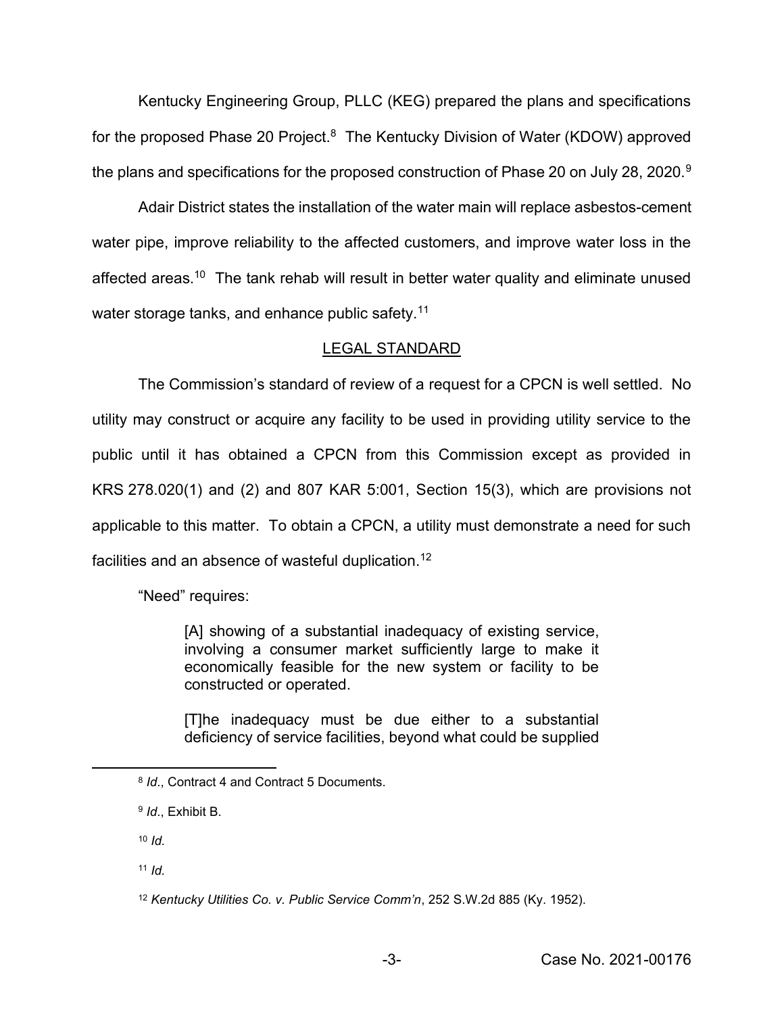Kentucky Engineering Group, PLLC (KEG) prepared the plans and specifications for the proposed Phase 20 Project. $8$  The Kentucky Division of Water (KDOW) approved the plans and specifications for the proposed construction of Phase 20 on July 28, 2020.<sup>9</sup>

Adair District states the installation of the water main will replace asbestos-cement water pipe, improve reliability to the affected customers, and improve water loss in the affected areas.<sup>10</sup> The tank rehab will result in better water quality and eliminate unused water storage tanks, and enhance public safety.<sup>11</sup>

# LEGAL STANDARD

The Commission's standard of review of a request for a CPCN is well settled. No utility may construct or acquire any facility to be used in providing utility service to the public until it has obtained a CPCN from this Commission except as provided in KRS 278.020(1) and (2) and 807 KAR 5:001, Section 15(3), which are provisions not applicable to this matter. To obtain a CPCN, a utility must demonstrate a need for such facilities and an absence of wasteful duplication.12

"Need" requires:

[A] showing of a substantial inadequacy of existing service, involving a consumer market sufficiently large to make it economically feasible for the new system or facility to be constructed or operated.

[T]he inadequacy must be due either to a substantial deficiency of service facilities, beyond what could be supplied

<sup>10</sup> *Id.*

<sup>11</sup> *Id.*

<sup>8</sup> *Id*., Contract 4 and Contract 5 Documents.

<sup>9</sup> *Id*., Exhibit B.

<sup>12</sup> *Kentucky Utilities Co. v. Public Service Comm'n*, 252 S.W.2d 885 (Ky. 1952).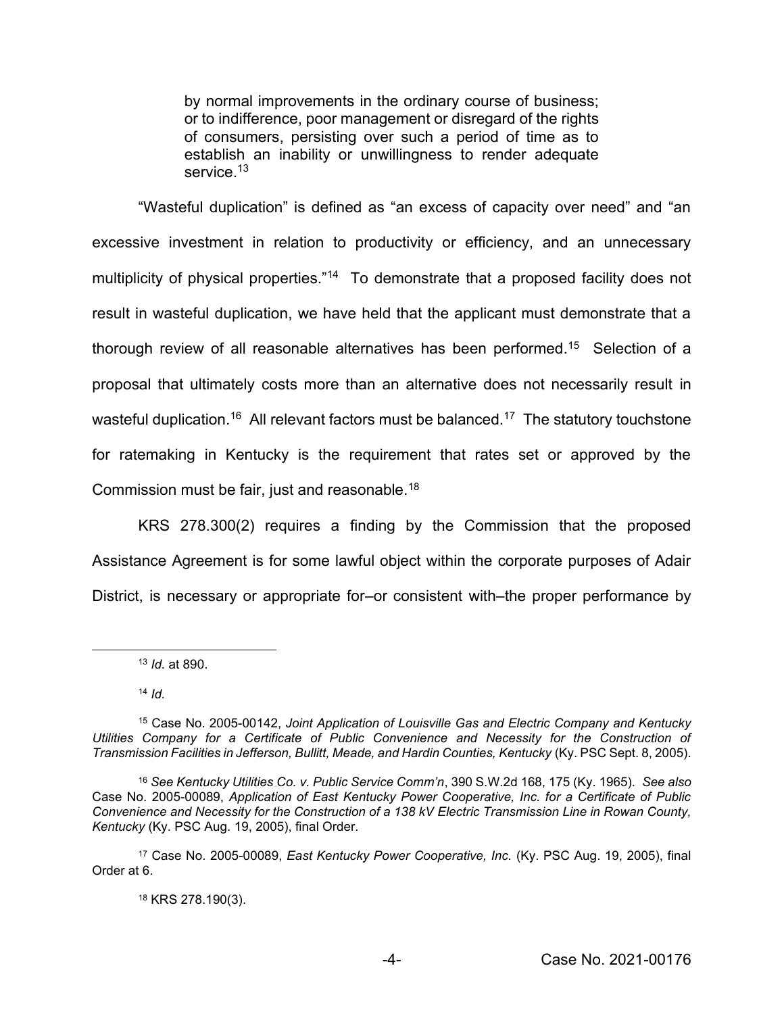by normal improvements in the ordinary course of business; or to indifference, poor management or disregard of the rights of consumers, persisting over such a period of time as to establish an inability or unwillingness to render adequate service.<sup>13</sup>

"Wasteful duplication" is defined as "an excess of capacity over need" and "an excessive investment in relation to productivity or efficiency, and an unnecessary multiplicity of physical properties."<sup>14</sup> To demonstrate that a proposed facility does not result in wasteful duplication, we have held that the applicant must demonstrate that a thorough review of all reasonable alternatives has been performed.15 Selection of a proposal that ultimately costs more than an alternative does not necessarily result in wasteful duplication.<sup>16</sup> All relevant factors must be balanced.<sup>17</sup> The statutory touchstone for ratemaking in Kentucky is the requirement that rates set or approved by the Commission must be fair, just and reasonable.18

KRS 278.300(2) requires a finding by the Commission that the proposed Assistance Agreement is for some lawful object within the corporate purposes of Adair District, is necessary or appropriate for–or consistent with–the proper performance by

<sup>13</sup> *Id.* at 890.

<sup>14</sup> *Id.*

<sup>18</sup> KRS 278.190(3).

<sup>15</sup> Case No. 2005-00142, *Joint Application of Louisville Gas and Electric Company and Kentucky*  Utilities Company for a Certificate of Public Convenience and Necessity for the Construction of *Transmission Facilities in Jefferson, Bullitt, Meade, and Hardin Counties, Kentucky* (Ky. PSC Sept. 8, 2005).

<sup>16</sup> *See Kentucky Utilities Co. v. Public Service Comm'n*, 390 S.W.2d 168, 175 (Ky. 1965). *See also* Case No. 2005-00089, *Application of East Kentucky Power Cooperative, Inc. for a Certificate of Public Convenience and Necessity for the Construction of a 138 kV Electric Transmission Line in Rowan County, Kentucky* (Ky. PSC Aug. 19, 2005), final Order.

<sup>17</sup> Case No. 2005-00089, *East Kentucky Power Cooperative, Inc.* (Ky. PSC Aug. 19, 2005), final Order at 6.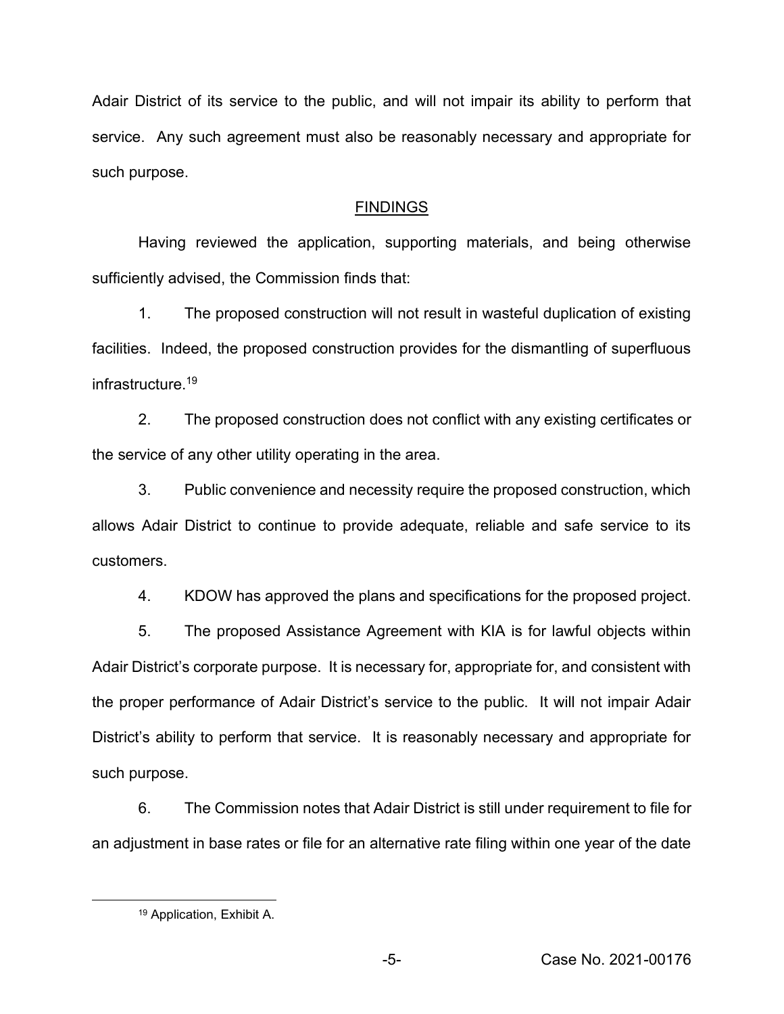Adair District of its service to the public, and will not impair its ability to perform that service. Any such agreement must also be reasonably necessary and appropriate for such purpose.

# FINDINGS

Having reviewed the application, supporting materials, and being otherwise sufficiently advised, the Commission finds that:

1. The proposed construction will not result in wasteful duplication of existing facilities. Indeed, the proposed construction provides for the dismantling of superfluous infrastructure.19

2. The proposed construction does not conflict with any existing certificates or the service of any other utility operating in the area.

3. Public convenience and necessity require the proposed construction, which allows Adair District to continue to provide adequate, reliable and safe service to its customers.

4. KDOW has approved the plans and specifications for the proposed project.

5. The proposed Assistance Agreement with KIA is for lawful objects within Adair District's corporate purpose. It is necessary for, appropriate for, and consistent with the proper performance of Adair District's service to the public. It will not impair Adair District's ability to perform that service. It is reasonably necessary and appropriate for such purpose.

6. The Commission notes that Adair District is still under requirement to file for an adjustment in base rates or file for an alternative rate filing within one year of the date

<sup>19</sup> Application, Exhibit A.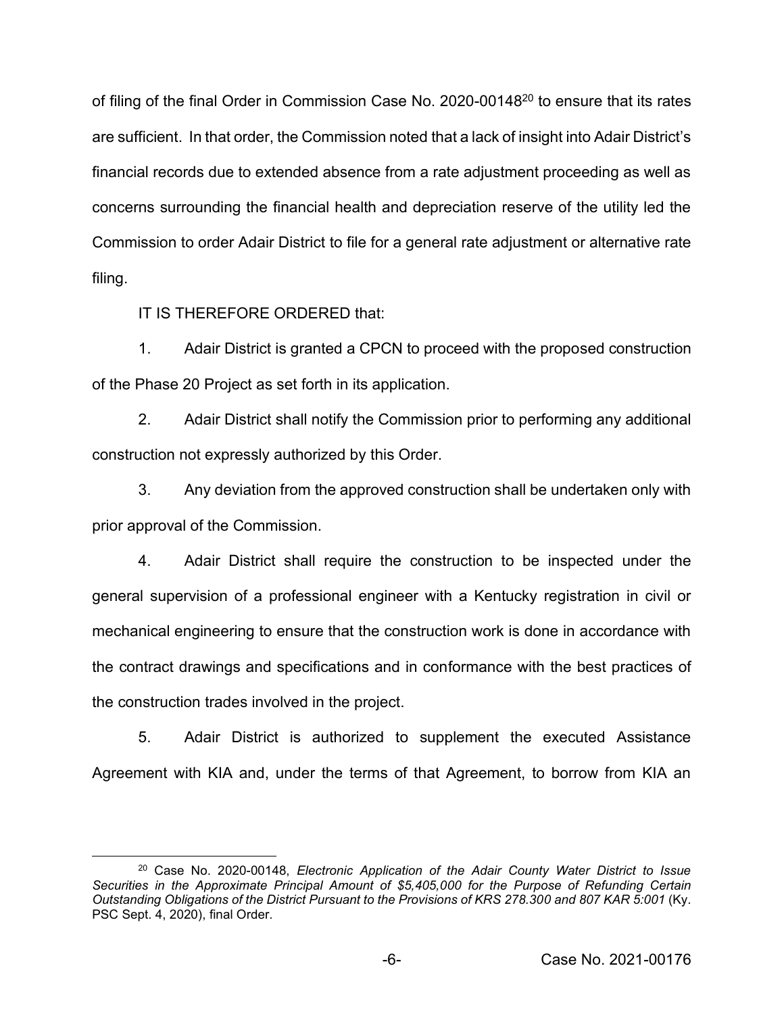of filing of the final Order in Commission Case No. 2020-0014820 to ensure that its rates are sufficient. In that order, the Commission noted that a lack of insight into Adair District's financial records due to extended absence from a rate adjustment proceeding as well as concerns surrounding the financial health and depreciation reserve of the utility led the Commission to order Adair District to file for a general rate adjustment or alternative rate filing.

IT IS THEREFORE ORDERED that:

1. Adair District is granted a CPCN to proceed with the proposed construction of the Phase 20 Project as set forth in its application.

2. Adair District shall notify the Commission prior to performing any additional construction not expressly authorized by this Order.

3. Any deviation from the approved construction shall be undertaken only with prior approval of the Commission.

4. Adair District shall require the construction to be inspected under the general supervision of a professional engineer with a Kentucky registration in civil or mechanical engineering to ensure that the construction work is done in accordance with the contract drawings and specifications and in conformance with the best practices of the construction trades involved in the project.

5. Adair District is authorized to supplement the executed Assistance Agreement with KIA and, under the terms of that Agreement, to borrow from KIA an

<sup>20</sup> Case No. 2020-00148, *Electronic Application of the Adair County Water District to Issue Securities in the Approximate Principal Amount of \$5,405,000 for the Purpose of Refunding Certain Outstanding Obligations of the District Pursuant to the Provisions of KRS 278.300 and 807 KAR 5:001* (Ky. PSC Sept. 4, 2020), final Order.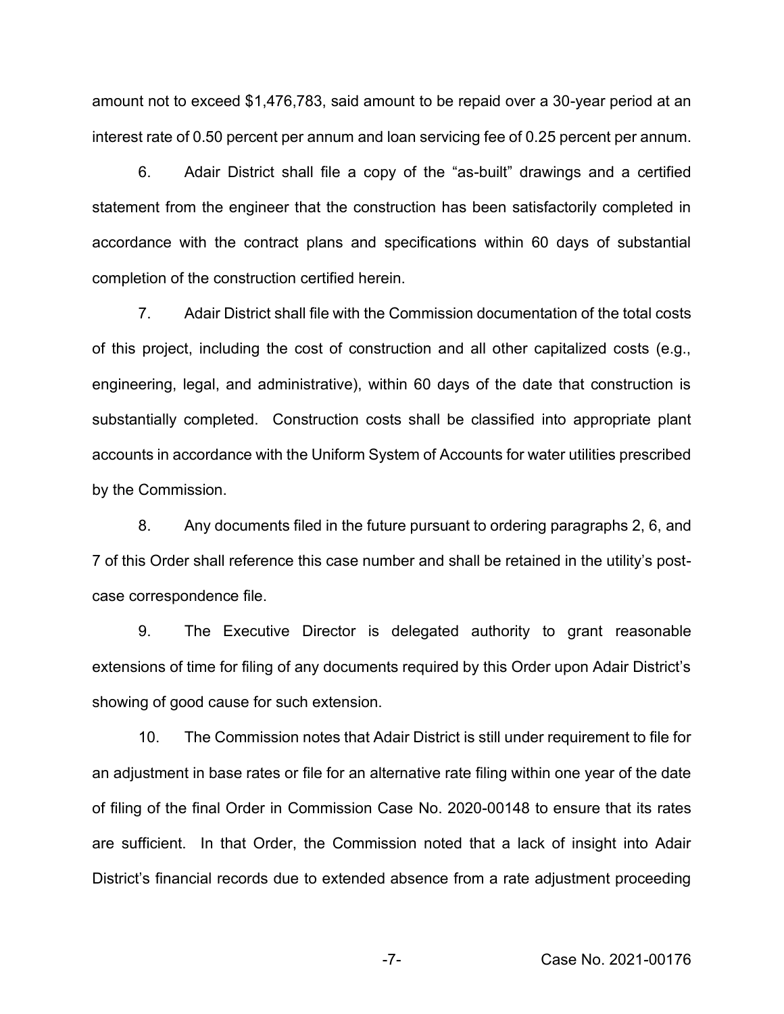amount not to exceed \$1,476,783, said amount to be repaid over a 30-year period at an interest rate of 0.50 percent per annum and loan servicing fee of 0.25 percent per annum.

6. Adair District shall file a copy of the "as-built" drawings and a certified statement from the engineer that the construction has been satisfactorily completed in accordance with the contract plans and specifications within 60 days of substantial completion of the construction certified herein.

7. Adair District shall file with the Commission documentation of the total costs of this project, including the cost of construction and all other capitalized costs (e.g., engineering, legal, and administrative), within 60 days of the date that construction is substantially completed. Construction costs shall be classified into appropriate plant accounts in accordance with the Uniform System of Accounts for water utilities prescribed by the Commission.

8. Any documents filed in the future pursuant to ordering paragraphs 2, 6, and 7 of this Order shall reference this case number and shall be retained in the utility's postcase correspondence file.

9. The Executive Director is delegated authority to grant reasonable extensions of time for filing of any documents required by this Order upon Adair District's showing of good cause for such extension.

10. The Commission notes that Adair District is still under requirement to file for an adjustment in base rates or file for an alternative rate filing within one year of the date of filing of the final Order in Commission Case No. 2020-00148 to ensure that its rates are sufficient. In that Order, the Commission noted that a lack of insight into Adair District's financial records due to extended absence from a rate adjustment proceeding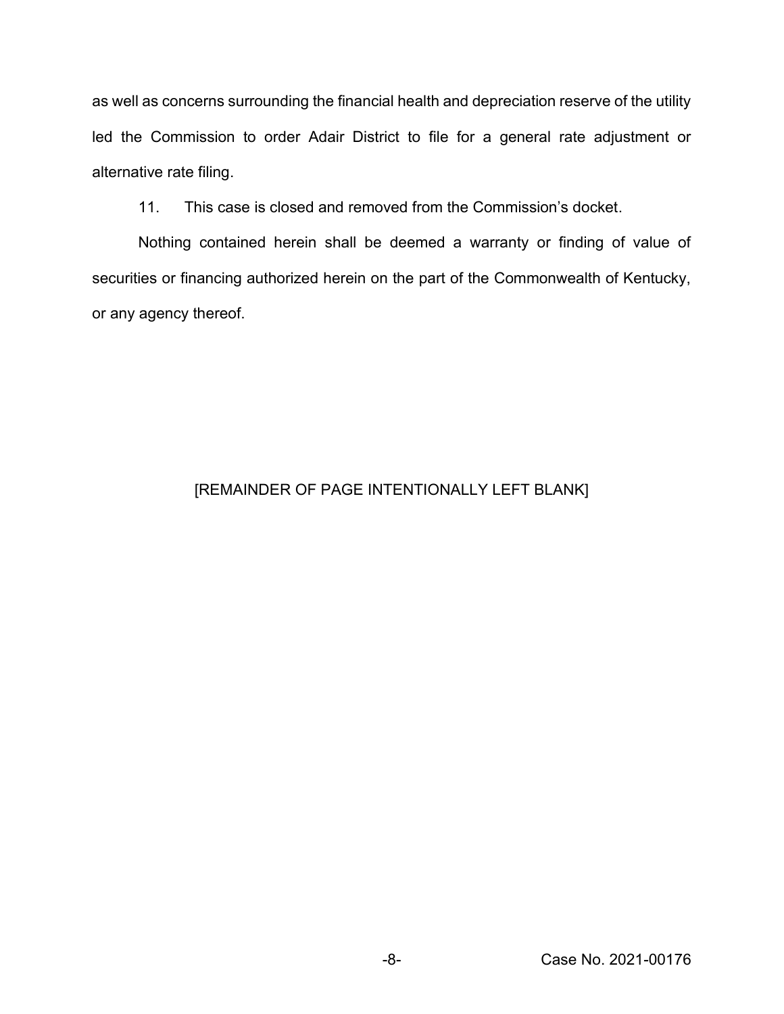as well as concerns surrounding the financial health and depreciation reserve of the utility led the Commission to order Adair District to file for a general rate adjustment or alternative rate filing.

11. This case is closed and removed from the Commission's docket.

Nothing contained herein shall be deemed a warranty or finding of value of securities or financing authorized herein on the part of the Commonwealth of Kentucky, or any agency thereof.

# [REMAINDER OF PAGE INTENTIONALLY LEFT BLANK]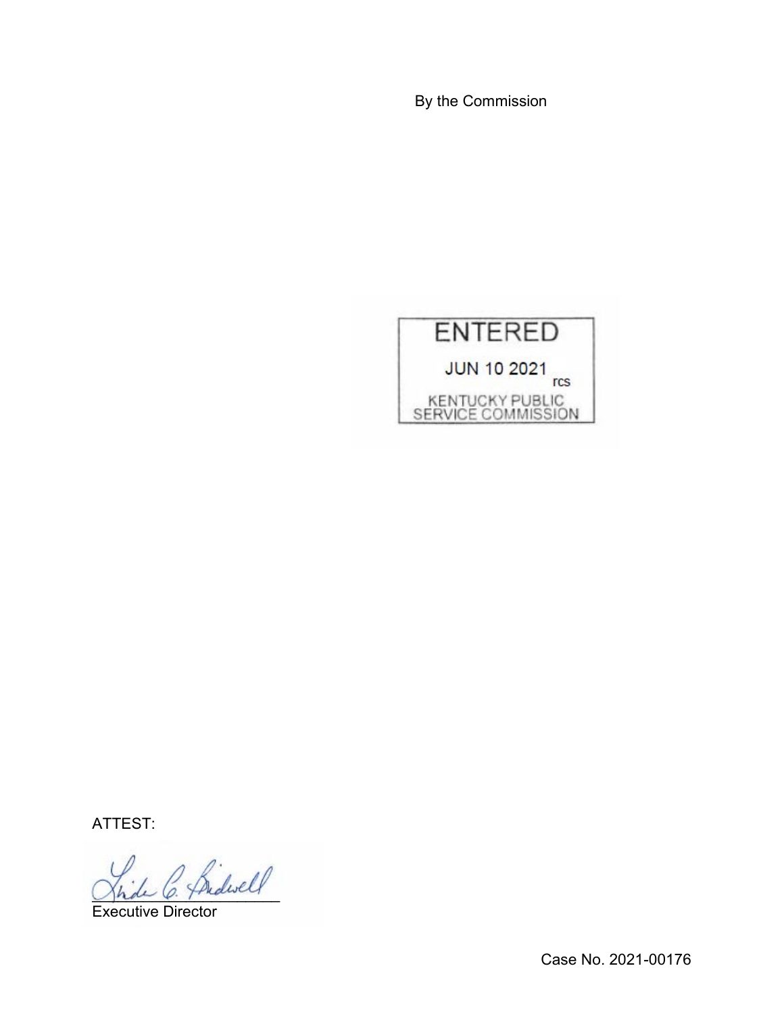By the Commission



ATTEST:

Bidwell

Executive Director

Case No. 2021-00176